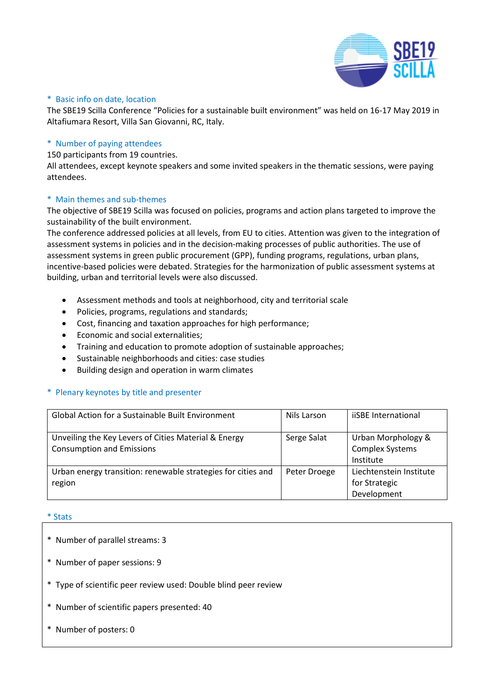

## \* Basic info on date, location

The SBE19 Scilla Conference "Policies for a sustainable built environment" was held on 16-17 May 2019 in Altafiumara Resort, Villa San Giovanni, RC, Italy.

# \* Number of paying attendees

#### 150 participants from 19 countries.

All attendees, except keynote speakers and some invited speakers in the thematic sessions, were paying attendees.

### \* Main themes and sub-themes

The objective of SBE19 Scilla was focused on policies, programs and action plans targeted to improve the sustainability of the built environment.

The conference addressed policies at all levels, from EU to cities. Attention was given to the integration of assessment systems in policies and in the decision-making processes of public authorities. The use of assessment systems in green public procurement (GPP), funding programs, regulations, urban plans, incentive-based policies were debated. Strategies for the harmonization of public assessment systems at building, urban and territorial levels were also discussed.

- Assessment methods and tools at neighborhood, city and territorial scale
- Policies, programs, regulations and standards;
- Cost, financing and taxation approaches for high performance;
- Economic and social externalities:
- Training and education to promote adoption of sustainable approaches;
- Sustainable neighborhoods and cities: case studies
- Building design and operation in warm climates

### \* Plenary keynotes by title and presenter

| <b>Global Action for a Sustainable Built Environment</b>                                 | Nils Larson  | iSBE International                                        |
|------------------------------------------------------------------------------------------|--------------|-----------------------------------------------------------|
| Unveiling the Key Levers of Cities Material & Energy<br><b>Consumption and Emissions</b> | Serge Salat  | Urban Morphology &<br><b>Complex Systems</b><br>Institute |
| Urban energy transition: renewable strategies for cities and<br>region                   | Peter Droege | Liechtenstein Institute<br>for Strategic<br>Development   |

#### \* Stats

- \* Number of parallel streams: 3
- \* Number of paper sessions: 9
- \* Type of scientific peer review used: Double blind peer review
- \* Number of scientific papers presented: 40
- \* Number of posters: 0